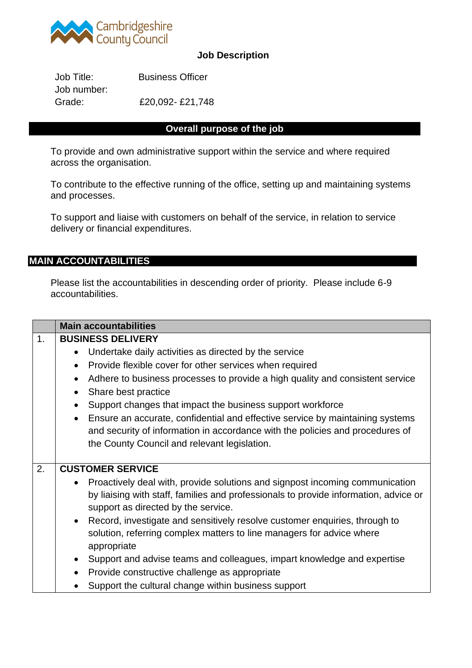

## **Job Description**

Job Title: Business Officer Job number: Grade: £20,092- £21,748

## **Overall purpose of the job**

To provide and own administrative support within the service and where required across the organisation.

To contribute to the effective running of the office, setting up and maintaining systems and processes.

To support and liaise with customers on behalf of the service, in relation to service delivery or financial expenditures.

### **MAIN ACCOUNTABILITIES**

Please list the accountabilities in descending order of priority. Please include 6-9 accountabilities.

|                | <b>Main accountabilities</b>                                                               |  |  |
|----------------|--------------------------------------------------------------------------------------------|--|--|
| $\mathbf{1}$ . | <b>BUSINESS DELIVERY</b>                                                                   |  |  |
|                | Undertake daily activities as directed by the service                                      |  |  |
|                | Provide flexible cover for other services when required<br>$\bullet$                       |  |  |
|                | Adhere to business processes to provide a high quality and consistent service              |  |  |
|                | Share best practice                                                                        |  |  |
|                | Support changes that impact the business support workforce<br>$\bullet$                    |  |  |
|                | Ensure an accurate, confidential and effective service by maintaining systems<br>$\bullet$ |  |  |
|                | and security of information in accordance with the policies and procedures of              |  |  |
|                | the County Council and relevant legislation.                                               |  |  |
|                |                                                                                            |  |  |
| 2.             | <b>CUSTOMER SERVICE</b>                                                                    |  |  |
|                | Proactively deal with, provide solutions and signpost incoming communication<br>$\bullet$  |  |  |
|                | by liaising with staff, families and professionals to provide information, advice or       |  |  |
|                | support as directed by the service.                                                        |  |  |
|                | Record, investigate and sensitively resolve customer enquiries, through to<br>$\bullet$    |  |  |
|                | solution, referring complex matters to line managers for advice where                      |  |  |
|                | appropriate                                                                                |  |  |
|                | Support and advise teams and colleagues, impart knowledge and expertise<br>$\bullet$       |  |  |
|                | Provide constructive challenge as appropriate<br>$\bullet$                                 |  |  |
|                | Support the cultural change within business support                                        |  |  |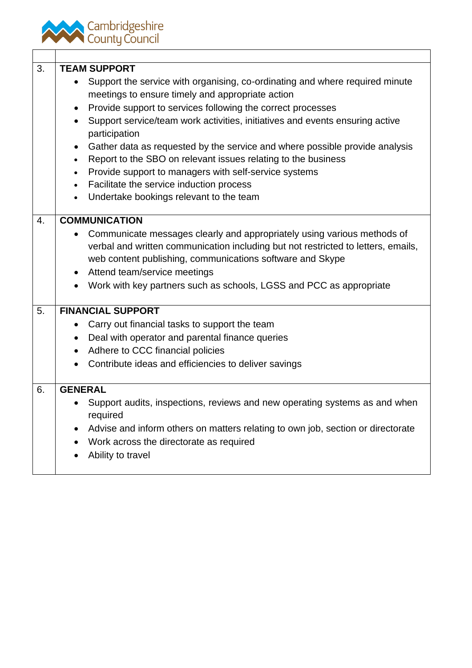

| 3. | <b>TEAM SUPPORT</b>                                                                                                                                                                                                                    |
|----|----------------------------------------------------------------------------------------------------------------------------------------------------------------------------------------------------------------------------------------|
|    | Support the service with organising, co-ordinating and where required minute<br>$\bullet$<br>meetings to ensure timely and appropriate action                                                                                          |
|    | Provide support to services following the correct processes<br>$\bullet$                                                                                                                                                               |
|    | Support service/team work activities, initiatives and events ensuring active<br>$\bullet$<br>participation                                                                                                                             |
|    | Gather data as requested by the service and where possible provide analysis<br>$\bullet$                                                                                                                                               |
|    | Report to the SBO on relevant issues relating to the business<br>$\bullet$                                                                                                                                                             |
|    | Provide support to managers with self-service systems<br>$\bullet$                                                                                                                                                                     |
|    | Facilitate the service induction process<br>$\bullet$                                                                                                                                                                                  |
|    | Undertake bookings relevant to the team<br>$\bullet$                                                                                                                                                                                   |
|    |                                                                                                                                                                                                                                        |
| 4. | <b>COMMUNICATION</b>                                                                                                                                                                                                                   |
|    | Communicate messages clearly and appropriately using various methods of<br>$\bullet$<br>verbal and written communication including but not restricted to letters, emails,<br>web content publishing, communications software and Skype |
|    | Attend team/service meetings<br>$\bullet$                                                                                                                                                                                              |
|    | Work with key partners such as schools, LGSS and PCC as appropriate                                                                                                                                                                    |
| 5. | <b>FINANCIAL SUPPORT</b>                                                                                                                                                                                                               |
|    | Carry out financial tasks to support the team<br>$\bullet$                                                                                                                                                                             |
|    | Deal with operator and parental finance queries<br>$\bullet$                                                                                                                                                                           |
|    | Adhere to CCC financial policies<br>$\bullet$                                                                                                                                                                                          |
|    | Contribute ideas and efficiencies to deliver savings                                                                                                                                                                                   |
| 6. | <b>GENERAL</b>                                                                                                                                                                                                                         |
|    | Support audits, inspections, reviews and new operating systems as and when<br>required                                                                                                                                                 |
|    | Advise and inform others on matters relating to own job, section or directorate<br>$\bullet$                                                                                                                                           |
|    | Work across the directorate as required                                                                                                                                                                                                |
|    | Ability to travel                                                                                                                                                                                                                      |
|    |                                                                                                                                                                                                                                        |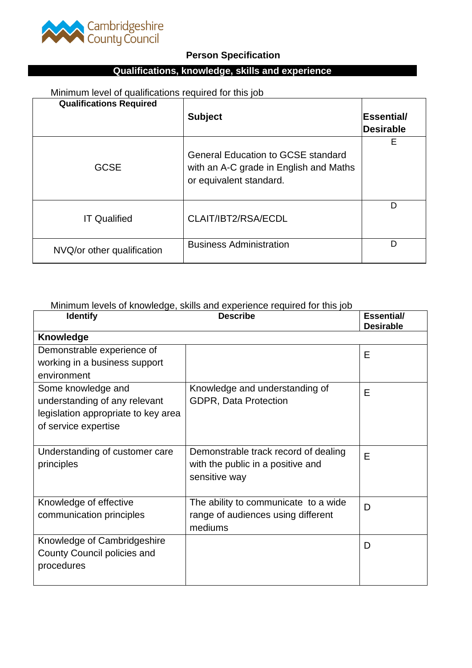

# **Person Specification**

# **Qualifications, knowledge, skills and experience**

# Minimum level of qualifications required for this job

| <b>Qualifications Required</b> | <b>Subject</b>                                                                                                 | ∣Essential/ |
|--------------------------------|----------------------------------------------------------------------------------------------------------------|-------------|
|                                |                                                                                                                | Desirable   |
| <b>GCSE</b>                    | <b>General Education to GCSE standard</b><br>with an A-C grade in English and Maths<br>or equivalent standard. | E           |
| <b>IT Qualified</b>            | CLAIT/IBT2/RSA/ECDL                                                                                            | D           |
| NVQ/or other qualification     | <b>Business Administration</b>                                                                                 | D           |

## Minimum levels of knowledge, skills and experience required for this job

| <b>Identify</b>                                                                                                    | <b>Describe</b>                                                                            | <b>Essential/</b><br><b>Desirable</b> |
|--------------------------------------------------------------------------------------------------------------------|--------------------------------------------------------------------------------------------|---------------------------------------|
| <b>Knowledge</b>                                                                                                   |                                                                                            |                                       |
| Demonstrable experience of<br>working in a business support<br>environment                                         |                                                                                            | E                                     |
| Some knowledge and<br>understanding of any relevant<br>legislation appropriate to key area<br>of service expertise | Knowledge and understanding of<br><b>GDPR, Data Protection</b>                             | E                                     |
| Understanding of customer care<br>principles                                                                       | Demonstrable track record of dealing<br>with the public in a positive and<br>sensitive way | F                                     |
| Knowledge of effective<br>communication principles                                                                 | The ability to communicate to a wide<br>range of audiences using different<br>mediums      | D                                     |
| Knowledge of Cambridgeshire<br>County Council policies and<br>procedures                                           |                                                                                            | D                                     |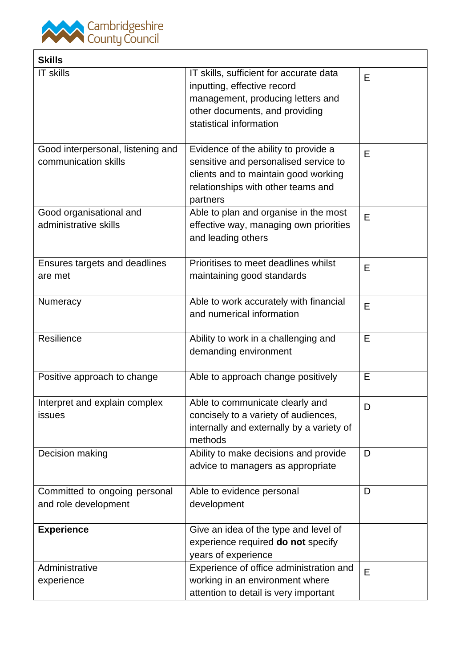

| <b>Skills</b>                                             |                                                                                                                                                                          |   |
|-----------------------------------------------------------|--------------------------------------------------------------------------------------------------------------------------------------------------------------------------|---|
| <b>IT skills</b>                                          | IT skills, sufficient for accurate data<br>inputting, effective record<br>management, producing letters and<br>other documents, and providing<br>statistical information | E |
| Good interpersonal, listening and<br>communication skills | Evidence of the ability to provide a<br>sensitive and personalised service to<br>clients and to maintain good working<br>relationships with other teams and<br>partners  | E |
| Good organisational and<br>administrative skills          | Able to plan and organise in the most<br>effective way, managing own priorities<br>and leading others                                                                    | E |
| Ensures targets and deadlines<br>are met                  | Prioritises to meet deadlines whilst<br>maintaining good standards                                                                                                       | E |
| Numeracy                                                  | Able to work accurately with financial<br>and numerical information                                                                                                      | E |
| Resilience                                                | Ability to work in a challenging and<br>demanding environment                                                                                                            | E |
| Positive approach to change                               | Able to approach change positively                                                                                                                                       | E |
| Interpret and explain complex<br>issues                   | Able to communicate clearly and<br>concisely to a variety of audiences,<br>internally and externally by a variety of<br>methods                                          | D |
| Decision making                                           | Ability to make decisions and provide<br>advice to managers as appropriate                                                                                               | D |
| Committed to ongoing personal<br>and role development     | Able to evidence personal<br>development                                                                                                                                 | D |
| <b>Experience</b>                                         | Give an idea of the type and level of<br>experience required do not specify<br>years of experience                                                                       |   |
| Administrative<br>experience                              | Experience of office administration and<br>working in an environment where<br>attention to detail is very important                                                      | E |